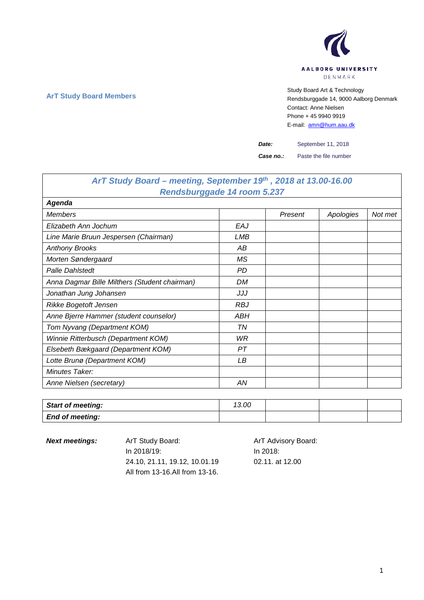

## **ArT Study Board Members** Study Board Art & Technology **Art Study Board Art & Technology** Rendsburggade 14, 9000 Aalborg Denmark Contact: Anne Nielsen Phone + 45 9940 9919 E-mail: [amn@hum.aau.dk](mailto:amn@hum.aau.dk)

*Date:* September 11, 2018

*Case no.:* Paste the file number

| ArT Study Board – meeting, September 19th, 2018 at 13.00-16.00 |            |         |           |         |
|----------------------------------------------------------------|------------|---------|-----------|---------|
| Rendsburggade 14 room 5.237                                    |            |         |           |         |
| Agenda                                                         |            |         |           |         |
| <b>Members</b>                                                 |            | Present | Apologies | Not met |
| Elizabeth Ann Jochum                                           | EAJ        |         |           |         |
| Line Marie Bruun Jespersen (Chairman)                          | LMB        |         |           |         |
| <b>Anthony Brooks</b>                                          | AB         |         |           |         |
| Morten Søndergaard                                             | <b>MS</b>  |         |           |         |
| <b>Palle Dahlstedt</b>                                         | <b>PD</b>  |         |           |         |
| Anna Dagmar Bille Milthers (Student chairman)                  | DM         |         |           |         |
| Jonathan Jung Johansen                                         | JJJ        |         |           |         |
| Rikke Bogetoft Jensen                                          | <b>RBJ</b> |         |           |         |
| Anne Bjerre Hammer (student counselor)                         | ABH        |         |           |         |
| Tom Nyvang (Department KOM)                                    | ΤN         |         |           |         |
| Winnie Ritterbusch (Department KOM)                            | WR         |         |           |         |
| Elsebeth Bækgaard (Department KOM)                             | PT         |         |           |         |
| Lotte Brunø (Department KOM)                                   | LB         |         |           |         |
| Minutes Taker:                                                 |            |         |           |         |
| Anne Nielsen (secretary)                                       | AN         |         |           |         |

| Start of meeting:      | 13.00 |  |  |
|------------------------|-------|--|--|
| <b>End of meeting:</b> |       |  |  |

**Next meetings:** ArT Study Board: ArT Advisory Board: In 2018/19: 24.10, 21.11, 19.12, 10.01.19 All from 13-16.All from 13-16. In 2018: 02.11. at 12.00